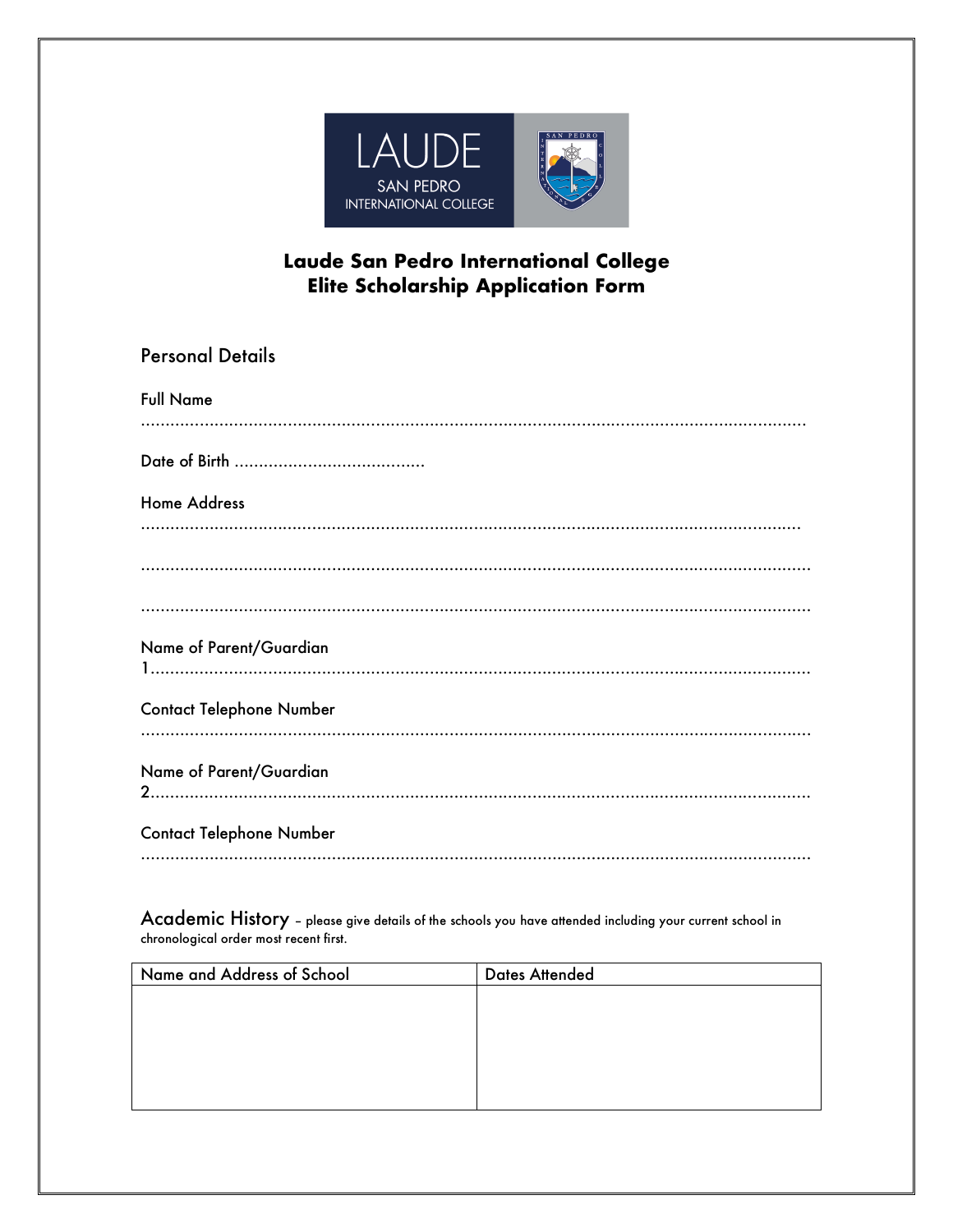

## **Laude San Pedro International College Elite Scholarship Application Form**

| <b>Personal Details</b>         |
|---------------------------------|
| <b>Full Name</b>                |
|                                 |
| <b>Home Address</b>             |
|                                 |
|                                 |
|                                 |
| Name of Parent/Guardian         |
| <b>Contact Telephone Number</b> |
| Name of Parent/Guardian         |
| <b>Contact Telephone Number</b> |
|                                 |

Academic History – please give details of the schools you have attended including your current school in chronological order most recent first.

| Name and Address of School | <b>Dates Attended</b> |
|----------------------------|-----------------------|
|                            |                       |
|                            |                       |
|                            |                       |
|                            |                       |
|                            |                       |
|                            |                       |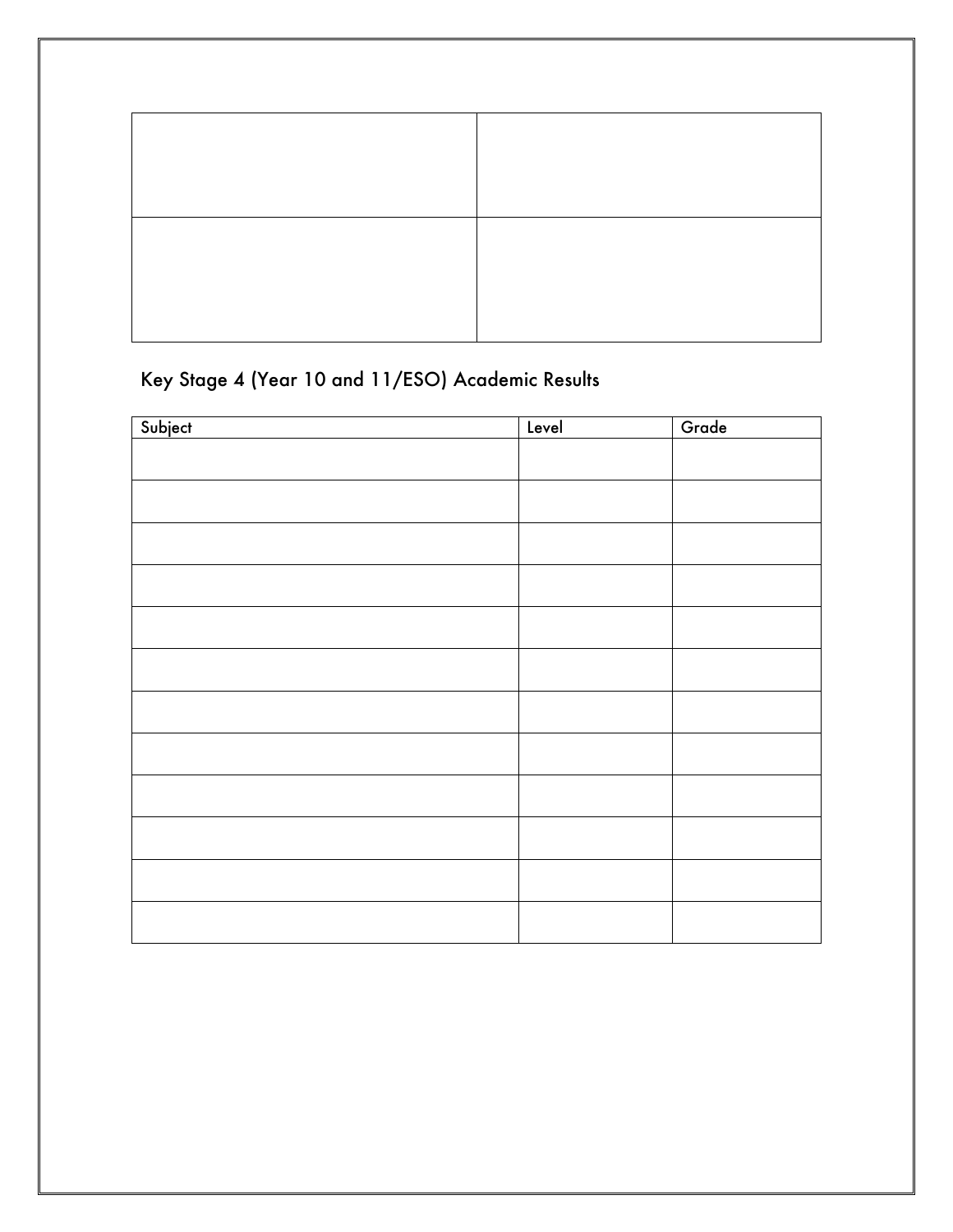## Key Stage 4 (Year 10 and 11/ESO) Academic Results

| Subject | Level | Grade |
|---------|-------|-------|
|         |       |       |
|         |       |       |
|         |       |       |
|         |       |       |
|         |       |       |
|         |       |       |
|         |       |       |
|         |       |       |
|         |       |       |
|         |       |       |
|         |       |       |
|         |       |       |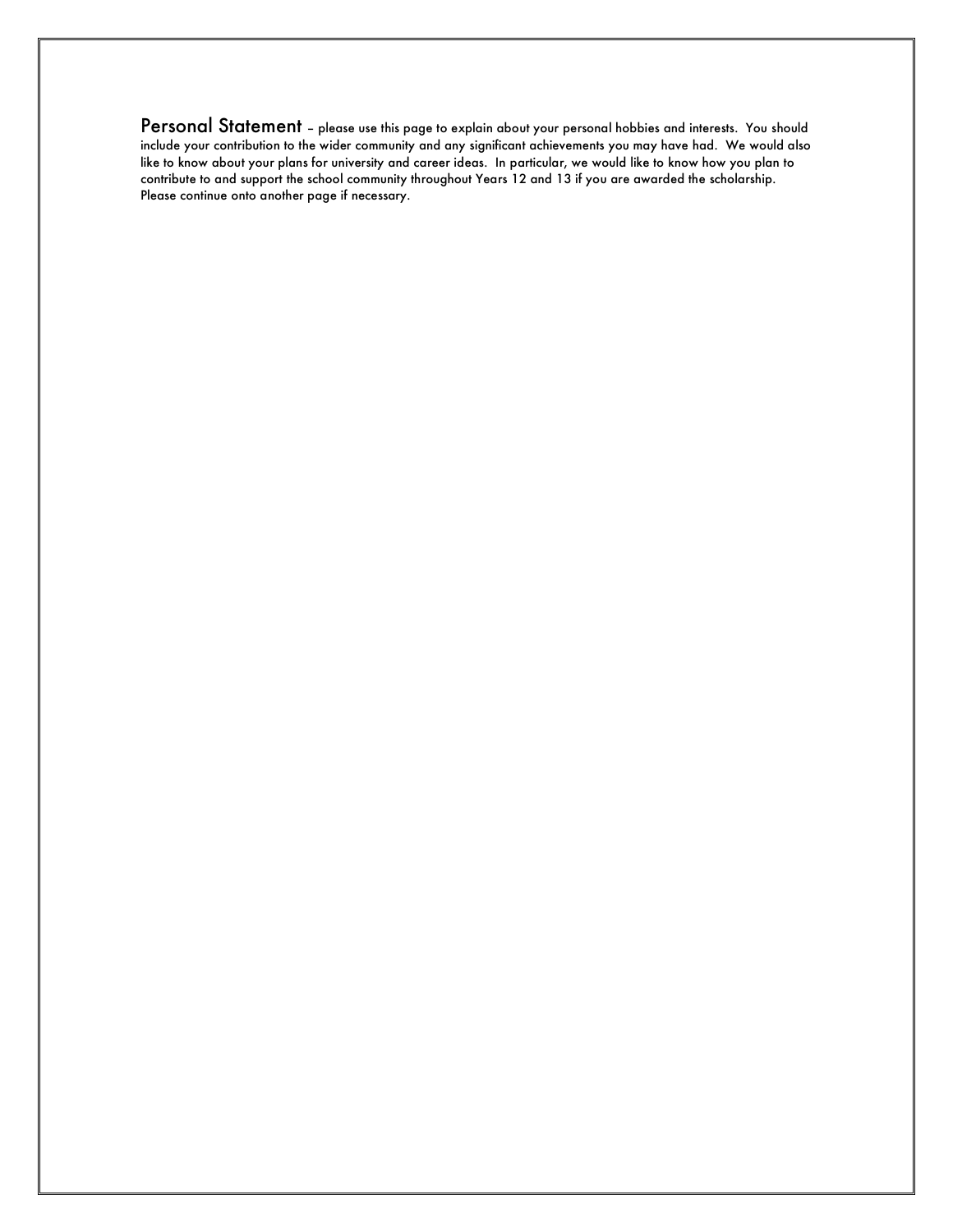Personal Statement - please use this page to explain about your personal hobbies and interests. You should include your contribution to the wider community and any significant achievements you may have had. We would also like to know about your plans for university and career ideas. In particular, we would like to know how you plan to contribute to and support the school community throughout Years 12 and 13 if you are awarded the scholarship. Please continue onto another page if necessary.